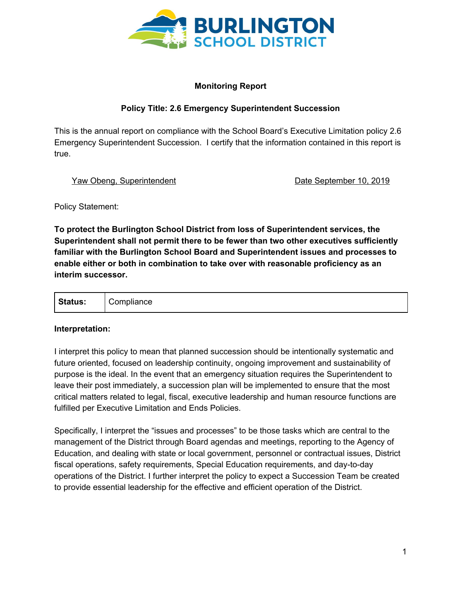

#### **Monitoring Report**

## **Policy Title: 2.6 Emergency Superintendent Succession**

This is the annual report on compliance with the School Board's Executive Limitation policy 2.6 Emergency Superintendent Succession. I certify that the information contained in this report is true.

Yaw Obeng, Superintendent **Date September 10, 2019** 

Policy Statement:

**To protect the Burlington School District from loss of Superintendent services, the Superintendent shall not permit there to be fewer than two other executives sufficiently familiar with the Burlington School Board and Superintendent issues and processes to enable either or both in combination to take over with reasonable proficiency as an interim successor.**

| <b>Status:</b> |
|----------------|
|----------------|

#### **Interpretation:**

I interpret this policy to mean that planned succession should be intentionally systematic and future oriented, focused on leadership continuity, ongoing improvement and sustainability of purpose is the ideal. In the event that an emergency situation requires the Superintendent to leave their post immediately, a succession plan will be implemented to ensure that the most critical matters related to legal, fiscal, executive leadership and human resource functions are fulfilled per Executive Limitation and Ends Policies.

Specifically, I interpret the "issues and processes" to be those tasks which are central to the management of the District through Board agendas and meetings, reporting to the Agency of Education, and dealing with state or local government, personnel or contractual issues, District fiscal operations, safety requirements, Special Education requirements, and day-to-day operations of the District. I further interpret the policy to expect a Succession Team be created to provide essential leadership for the effective and efficient operation of the District.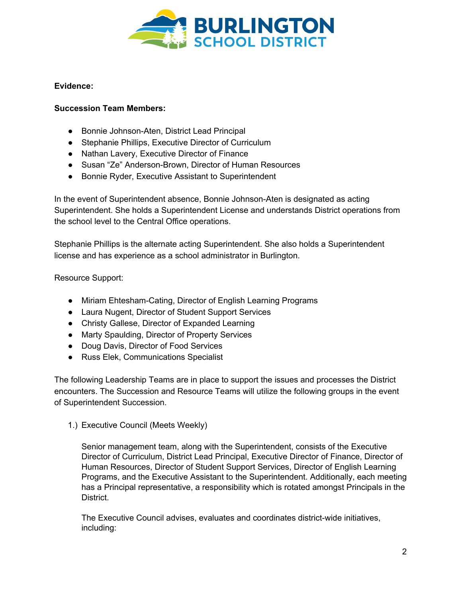

#### **Evidence:**

#### **Succession Team Members:**

- Bonnie Johnson-Aten, District Lead Principal
- Stephanie Phillips, Executive Director of Curriculum
- Nathan Lavery, Executive Director of Finance
- Susan "Ze" Anderson-Brown, Director of Human Resources
- Bonnie Ryder, Executive Assistant to Superintendent

In the event of Superintendent absence, Bonnie Johnson-Aten is designated as acting Superintendent. She holds a Superintendent License and understands District operations from the school level to the Central Office operations.

Stephanie Phillips is the alternate acting Superintendent. She also holds a Superintendent license and has experience as a school administrator in Burlington.

## Resource Support:

- Miriam Ehtesham-Cating, Director of English Learning Programs
- Laura Nugent, Director of Student Support Services
- Christy Gallese, Director of Expanded Learning
- Marty Spaulding, Director of Property Services
- Doug Davis, Director of Food Services
- Russ Elek, Communications Specialist

The following Leadership Teams are in place to support the issues and processes the District encounters. The Succession and Resource Teams will utilize the following groups in the event of Superintendent Succession.

1.) Executive Council (Meets Weekly)

Senior management team, along with the Superintendent, consists of the Executive Director of Curriculum, District Lead Principal, Executive Director of Finance, Director of Human Resources, Director of Student Support Services, Director of English Learning Programs, and the Executive Assistant to the Superintendent. Additionally, each meeting has a Principal representative, a responsibility which is rotated amongst Principals in the District.

The Executive Council advises, evaluates and coordinates district-wide initiatives, including: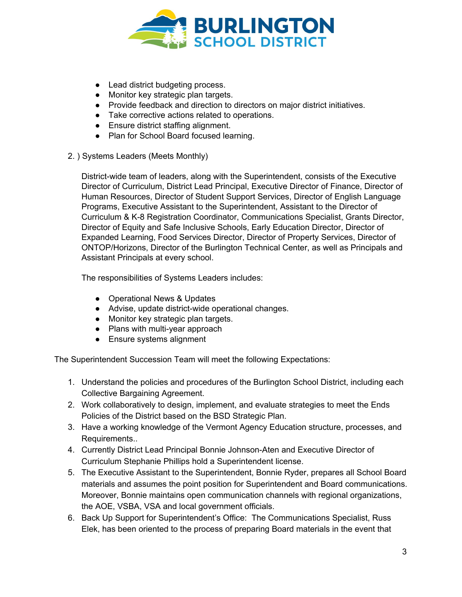

- Lead district budgeting process.
- Monitor key strategic plan targets.
- Provide feedback and direction to directors on major district initiatives.
- Take corrective actions related to operations.
- Ensure district staffing alignment.
- Plan for School Board focused learning.
- 2. ) Systems Leaders (Meets Monthly)

District-wide team of leaders, along with the Superintendent, consists of the Executive Director of Curriculum, District Lead Principal, Executive Director of Finance, Director of Human Resources, Director of Student Support Services, Director of English Language Programs, Executive Assistant to the Superintendent, Assistant to the Director of Curriculum & K-8 Registration Coordinator, Communications Specialist, Grants Director, Director of Equity and Safe Inclusive Schools, Early Education Director, Director of Expanded Learning, Food Services Director, Director of Property Services, Director of ONTOP/Horizons, Director of the Burlington Technical Center, as well as Principals and Assistant Principals at every school.

The responsibilities of Systems Leaders includes:

- Operational News & Updates
- Advise, update district-wide operational changes.
- Monitor key strategic plan targets.
- Plans with multi-year approach
- Ensure systems alignment

The Superintendent Succession Team will meet the following Expectations:

- 1. Understand the policies and procedures of the Burlington School District, including each Collective Bargaining Agreement.
- 2. Work collaboratively to design, implement, and evaluate strategies to meet the Ends Policies of the District based on the BSD Strategic Plan.
- 3. Have a working knowledge of the Vermont Agency Education structure, processes, and Requirements..
- 4. Currently District Lead Principal Bonnie Johnson-Aten and Executive Director of Curriculum Stephanie Phillips hold a Superintendent license.
- 5. The Executive Assistant to the Superintendent, Bonnie Ryder, prepares all School Board materials and assumes the point position for Superintendent and Board communications. Moreover, Bonnie maintains open communication channels with regional organizations, the AOE, VSBA, VSA and local government officials.
- 6. Back Up Support for Superintendent's Office: The Communications Specialist, Russ Elek, has been oriented to the process of preparing Board materials in the event that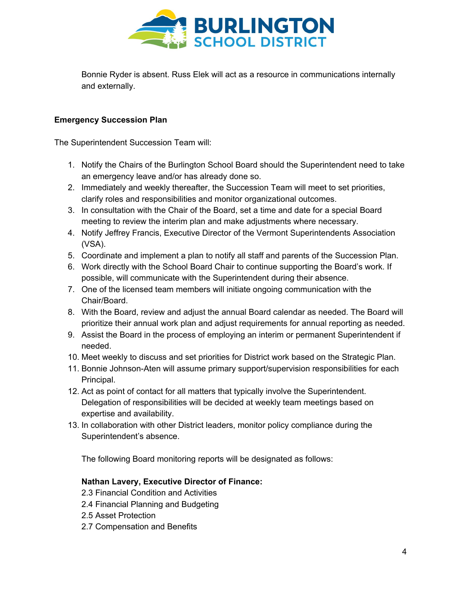

Bonnie Ryder is absent. Russ Elek will act as a resource in communications internally and externally.

## **Emergency Succession Plan**

The Superintendent Succession Team will:

- 1. Notify the Chairs of the Burlington School Board should the Superintendent need to take an emergency leave and/or has already done so.
- 2. Immediately and weekly thereafter, the Succession Team will meet to set priorities, clarify roles and responsibilities and monitor organizational outcomes.
- 3. In consultation with the Chair of the Board, set a time and date for a special Board meeting to review the interim plan and make adjustments where necessary.
- 4. Notify Jeffrey Francis, Executive Director of the Vermont Superintendents Association (VSA).
- 5. Coordinate and implement a plan to notify all staff and parents of the Succession Plan.
- 6. Work directly with the School Board Chair to continue supporting the Board's work. If possible, will communicate with the Superintendent during their absence.
- 7. One of the licensed team members will initiate ongoing communication with the Chair/Board.
- 8. With the Board, review and adjust the annual Board calendar as needed. The Board will prioritize their annual work plan and adjust requirements for annual reporting as needed.
- 9. Assist the Board in the process of employing an interim or permanent Superintendent if needed.
- 10. Meet weekly to discuss and set priorities for District work based on the Strategic Plan.
- 11. Bonnie Johnson-Aten will assume primary support/supervision responsibilities for each Principal.
- 12. Act as point of contact for all matters that typically involve the Superintendent. Delegation of responsibilities will be decided at weekly team meetings based on expertise and availability.
- 13. In collaboration with other District leaders, monitor policy compliance during the Superintendent's absence.

The following Board monitoring reports will be designated as follows:

## **Nathan Lavery, Executive Director of Finance:**

- 2.3 Financial Condition and Activities
- 2.4 Financial Planning and Budgeting
- 2.5 Asset Protection
- 2.7 Compensation and Benefits